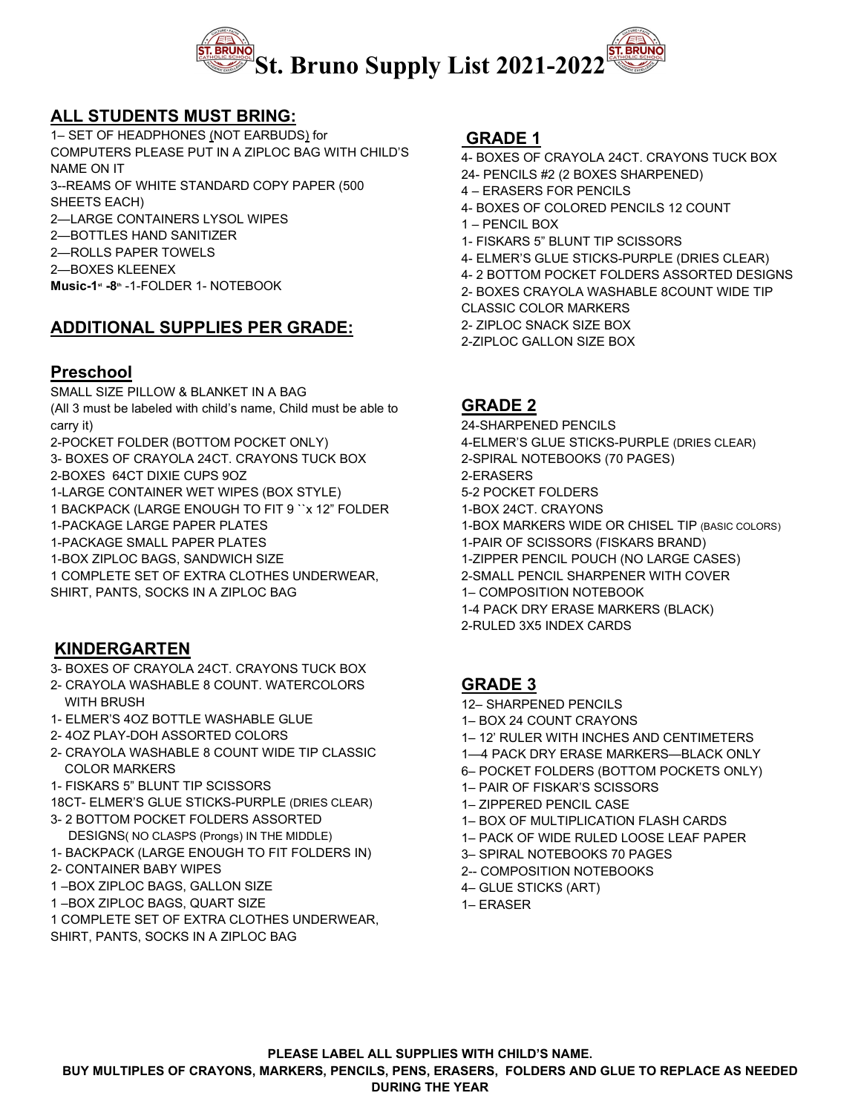

# **ALL STUDENTS MUST BRING:**

1– SET OF HEADPHONES (NOT EARBUDS) for COMPUTERS PLEASE PUT IN A ZIPLOC BAG WITH CHILD'S NAME ON IT 3--REAMS OF WHITE STANDARD COPY PAPER (500 SHEETS EACH) 2—LARGE CONTAINERS LYSOL WIPES 2—BOTTLES HAND SANITIZER 2—ROLLS PAPER TOWELS 2—BOXES KLEENEX **Music-1st -8th** -1-FOLDER 1- NOTEBOOK

# **ADDITIONAL SUPPLIES PER GRADE:**

#### **Preschool**

SMALL SIZE PILLOW & BLANKET IN A BAG (All 3 must be labeled with child's name, Child must be able to carry it) 2-POCKET FOLDER (BOTTOM POCKET ONLY)

3- BOXES OF CRAYOLA 24CT. CRAYONS TUCK BOX

2-BOXES 64CT DIXIE CUPS 9OZ

1-LARGE CONTAINER WET WIPES (BOX STYLE)

1 BACKPACK (LARGE ENOUGH TO FIT 9 ``x 12" FOLDER

1-PACKAGE LARGE PAPER PLATES

1-PACKAGE SMALL PAPER PLATES

1-BOX ZIPLOC BAGS, SANDWICH SIZE

1 COMPLETE SET OF EXTRA CLOTHES UNDERWEAR, SHIRT, PANTS, SOCKS IN A ZIPLOC BAG

# **KINDERGARTEN**

3- BOXES OF CRAYOLA 24CT. CRAYONS TUCK BOX

- 2- CRAYOLA WASHABLE 8 COUNT. WATERCOLORS WITH **BRUSH**
- 1- ELMER'S 4OZ BOTTLE WASHABLE GLUE
- 2- 4OZ PLAY-DOH ASSORTED COLORS
- 2- CRAYOLA WASHABLE 8 COUNT WIDE TIP CLASSIC COLOR MARKERS
- 1- FISKARS 5" BLUNT TIP SCISSORS
- 18CT- ELMER'S GLUE STICKS-PURPLE (DRIES CLEAR)
- 3- 2 BOTTOM POCKET FOLDERS ASSORTED DESIGNS( NO CLASPS (Prongs) IN THE MIDDLE)
- 1- BACKPACK (LARGE ENOUGH TO FIT FOLDERS IN)
- 2- CONTAINER BABY WIPES
- 1 –BOX ZIPLOC BAGS, GALLON SIZE
- 1 –BOX ZIPLOC BAGS, QUART SIZE
- 1 COMPLETE SET OF EXTRA CLOTHES UNDERWEAR,
- SHIRT, PANTS, SOCKS IN A ZIPLOC BAG

### **GRADE 1**

- 4- BOXES OF CRAYOLA 24CT. CRAYONS TUCK BOX
- 24- PENCILS #2 (2 BOXES SHARPENED)
- 4 ERASERS FOR PENCILS
- 4- BOXES OF COLORED PENCILS 12 COUNT
- 1 PENCIL BOX
- 1- FISKARS 5" BLUNT TIP SCISSORS
- 4- ELMER'S GLUE STICKS-PURPLE (DRIES CLEAR)
- 4- 2 BOTTOM POCKET FOLDERS ASSORTED DESIGNS
- 2- BOXES CRAYOLA WASHABLE 8COUNT WIDE TIP
- CLASSIC COLOR MARKERS
- 2- ZIPLOC SNACK SIZE BOX

2-ZIPLOC GALLON SIZE BOX

### **GRADE 2**

24-SHARPENED PENCILS 4-ELMER'S GLUE STICKS-PURPLE (DRIES CLEAR) 2-SPIRAL NOTEBOOKS (70 PAGES) 2-ERASERS 5-2 POCKET FOLDERS 1-BOX 24CT. CRAYONS 1-BOX MARKERS WIDE OR CHISEL TIP (BASIC COLORS) 1-PAIR OF SCISSORS (FISKARS BRAND) 1-ZIPPER PENCIL POUCH (NO LARGE CASES) 2-SMALL PENCIL SHARPENER WITH COVER 1– COMPOSITION NOTEBOOK 1-4 PACK DRY ERASE MARKERS (BLACK) 2-RULED 3X5 INDEX CARDS

# **GRADE 3**

- 12– SHARPENED PENCILS
- 1– BOX 24 COUNT CRAYONS
- 1– 12' RULER WITH INCHES AND CENTIMETERS
- 1—4 PACK DRY ERASE MARKERS—BLACK ONLY
- 6– POCKET FOLDERS (BOTTOM POCKETS ONLY)
- 1– PAIR OF FISKAR'S SCISSORS
- 1– ZIPPERED PENCIL CASE
- 1– BOX OF MULTIPLICATION FLASH CARDS
- 1– PACK OF WIDE RULED LOOSE LEAF PAPER
- 3– SPIRAL NOTEBOOKS 70 PAGES
- 2-- COMPOSITION NOTEBOOKS
- 4– GLUE STICKS (ART)